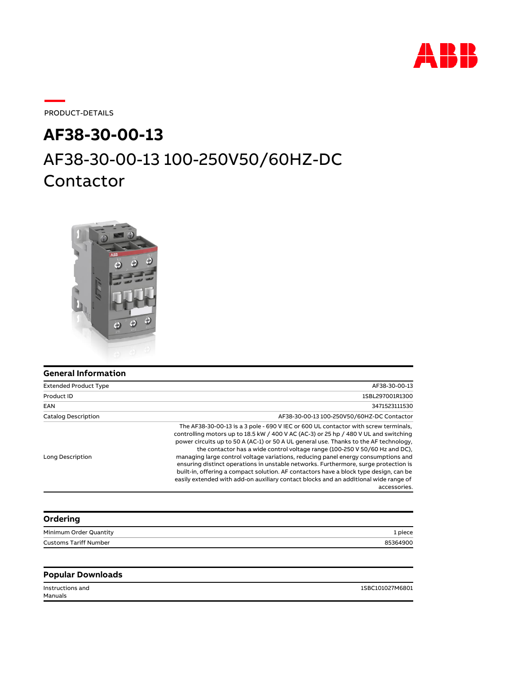

PRODUCT-DETAILS

# AF38-30-00-13 100-250V50/60HZ-DC Contactor **AF38-30-00-13**



| General Information |  |
|---------------------|--|
|---------------------|--|

| <b>Extended Product Type</b> | AF38-30-00-13                                                                                                                                                                                                                                                                                                                                                                                                                                                                                                                                                                                                                                                                                                                    |
|------------------------------|----------------------------------------------------------------------------------------------------------------------------------------------------------------------------------------------------------------------------------------------------------------------------------------------------------------------------------------------------------------------------------------------------------------------------------------------------------------------------------------------------------------------------------------------------------------------------------------------------------------------------------------------------------------------------------------------------------------------------------|
| Product ID                   | 1SBL297001R1300                                                                                                                                                                                                                                                                                                                                                                                                                                                                                                                                                                                                                                                                                                                  |
| EAN                          | 3471523111530                                                                                                                                                                                                                                                                                                                                                                                                                                                                                                                                                                                                                                                                                                                    |
| <b>Catalog Description</b>   | AF38-30-00-13 100-250V50/60HZ-DC Contactor                                                                                                                                                                                                                                                                                                                                                                                                                                                                                                                                                                                                                                                                                       |
| Long Description             | The AF38-30-00-13 is a 3 pole - 690 V IEC or 600 UL contactor with screw terminals,<br>controlling motors up to 18.5 kW / 400 V AC (AC-3) or 25 hp / 480 V UL and switching<br>power circuits up to 50 A (AC-1) or 50 A UL general use. Thanks to the AF technology,<br>the contactor has a wide control voltage range (100-250 V 50/60 Hz and DC),<br>managing large control voltage variations, reducing panel energy consumptions and<br>ensuring distinct operations in unstable networks. Furthermore, surge protection is<br>built-in, offering a compact solution. AF contactors have a block type design, can be<br>easily extended with add-on auxiliary contact blocks and an additional wide range of<br>accessories. |

| Ordering                     |          |
|------------------------------|----------|
| Minimum Order Quantity       | 1 piece  |
| <b>Customs Tariff Number</b> | 85364900 |
|                              |          |

#### **Popular Downloads**

Manuals

Instructions and 1SBC101027M6801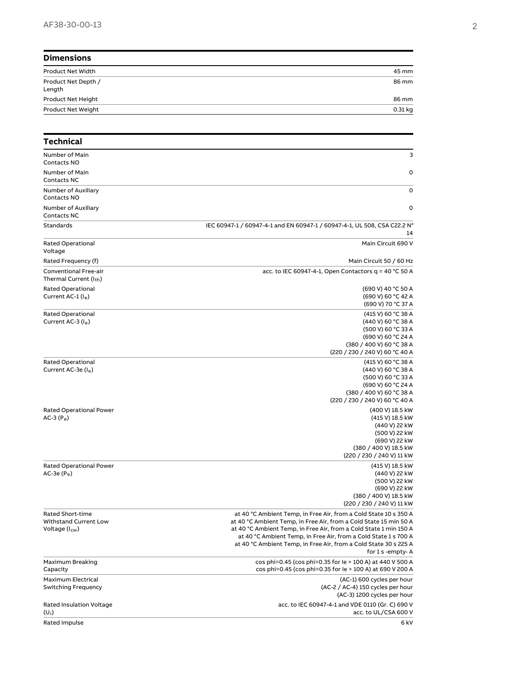| <b>Dimensions</b>             |           |
|-------------------------------|-----------|
| Product Net Width             | 45 mm     |
| Product Net Depth /<br>Length | 86 mm     |
| Product Net Height            | 86 mm     |
| Product Net Weight            | $0.31$ kg |

| Technical                                                               |                                                                                                                                                                                                                                                                                                                                                                        |
|-------------------------------------------------------------------------|------------------------------------------------------------------------------------------------------------------------------------------------------------------------------------------------------------------------------------------------------------------------------------------------------------------------------------------------------------------------|
| Number of Main<br>Contacts NO                                           | 3                                                                                                                                                                                                                                                                                                                                                                      |
| Number of Main<br>Contacts NC                                           | $\mathbf 0$                                                                                                                                                                                                                                                                                                                                                            |
| Number of Auxiliary<br>Contacts NO                                      | $\mathbf 0$                                                                                                                                                                                                                                                                                                                                                            |
| Number of Auxiliary<br>Contacts NC                                      | $\mathbf 0$                                                                                                                                                                                                                                                                                                                                                            |
| Standards                                                               | IEC 60947-1 / 60947-4-1 and EN 60947-1 / 60947-4-1, UL 508, CSA C22.2 N°<br>14                                                                                                                                                                                                                                                                                         |
| <b>Rated Operational</b><br>Voltage                                     | Main Circuit 690 V                                                                                                                                                                                                                                                                                                                                                     |
| Rated Frequency (f)                                                     | Main Circuit 50 / 60 Hz                                                                                                                                                                                                                                                                                                                                                |
| Conventional Free-air<br>Thermal Current (I <sub>th</sub> )             | acc. to IEC 60947-4-1, Open Contactors $q = 40$ °C 50 A                                                                                                                                                                                                                                                                                                                |
| Rated Operational<br>Current AC-1 (le)                                  | (690 V) 40 °C 50 A<br>(690 V) 60 °C 42 A<br>(690 V) 70 °C 37 A                                                                                                                                                                                                                                                                                                         |
| Rated Operational<br>Current AC-3 $(I_e)$                               | (415 V) 60 °C 38 A<br>(440 V) 60 °C 38 A<br>(500 V) 60 °C 33 A<br>(690 V) 60 °C 24 A<br>(380 / 400 V) 60 °C 38 A<br>(220 / 230 / 240 V) 60 °C 40 A                                                                                                                                                                                                                     |
| Rated Operational<br>Current AC-3e (I <sub>e</sub> )                    | (415 V) 60 °C 38 A<br>(440 V) 60 °C 38 A<br>(500 V) 60 °C 33 A<br>(690 V) 60 °C 24 A<br>(380 / 400 V) 60 °C 38 A<br>(220 / 230 / 240 V) 60 °C 40 A                                                                                                                                                                                                                     |
| Rated Operational Power<br>AC-3 $(P_e)$                                 | (400 V) 18.5 kW<br>(415 V) 18.5 kW<br>(440 V) 22 kW<br>(500 V) 22 kW<br>(690 V) 22 kW<br>(380 / 400 V) 18.5 kW<br>(220 / 230 / 240 V) 11 kW                                                                                                                                                                                                                            |
| <b>Rated Operational Power</b><br>AC-3e $(P_e)$                         | (415 V) 18.5 kW<br>(440 V) 22 kW<br>(500 V) 22 kW<br>(690 V) 22 kW<br>(380 / 400 V) 18.5 kW<br>(220 / 230 / 240 V) 11 kW                                                                                                                                                                                                                                               |
| Rated Short-time<br>Withstand Current Low<br>Voltage (I <sub>cw</sub> ) | at 40 °C Ambient Temp, in Free Air, from a Cold State 10 s 350 A<br>at 40 °C Ambient Temp, in Free Air, from a Cold State 15 min 50 A<br>at 40 °C Ambient Temp, in Free Air, from a Cold State 1 min 150 A<br>at 40 °C Ambient Temp, in Free Air, from a Cold State 1 s 700 A<br>at 40 °C Ambient Temp, in Free Air, from a Cold State 30 s 225 A<br>for 1 s -empty- A |
| Maximum Breaking<br>Capacity                                            | cos phi=0.45 (cos phi=0.35 for le > 100 A) at 440 V 500 A<br>cos phi=0.45 (cos phi=0.35 for le > 100 A) at 690 V 200 A                                                                                                                                                                                                                                                 |
| Maximum Electrical<br><b>Switching Frequency</b>                        | (AC-1) 600 cycles per hour<br>(AC-2 / AC-4) 150 cycles per hour<br>(AC-3) 1200 cycles per hour                                                                                                                                                                                                                                                                         |
| <b>Rated Insulation Voltage</b><br>$(U_i)$                              | acc. to IEC 60947-4-1 and VDE 0110 (Gr. C) 690 V<br>acc. to UL/CSA 600 V                                                                                                                                                                                                                                                                                               |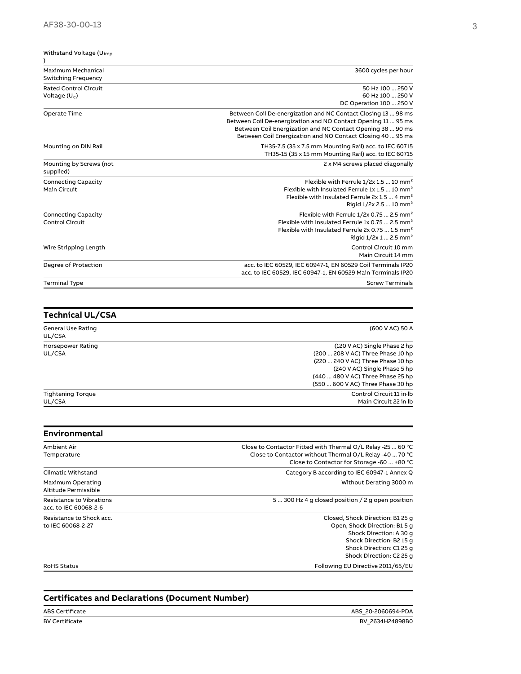| Withstand Voltage (U <sub>imp</sub><br>$\mathcal{C}$ |                                                                                                                                                                                                                                                            |
|------------------------------------------------------|------------------------------------------------------------------------------------------------------------------------------------------------------------------------------------------------------------------------------------------------------------|
| Maximum Mechanical<br><b>Switching Frequency</b>     | 3600 cycles per hour                                                                                                                                                                                                                                       |
| <b>Rated Control Circuit</b><br>Voltage $(U_c)$      | 50 Hz 100  250 V<br>60 Hz 100  250 V<br>DC Operation 100  250 V                                                                                                                                                                                            |
| Operate Time                                         | Between Coil De-energization and NC Contact Closing 13  98 ms<br>Between Coil De-energization and NO Contact Opening 11  95 ms<br>Between Coil Energization and NC Contact Opening 38  90 ms<br>Between Coil Energization and NO Contact Closing 40  95 ms |
| Mounting on DIN Rail                                 | TH35-7.5 (35 x 7.5 mm Mounting Rail) acc. to IEC 60715<br>TH35-15 (35 x 15 mm Mounting Rail) acc. to IEC 60715                                                                                                                                             |
| Mounting by Screws (not<br>supplied)                 | 2 x M4 screws placed diagonally                                                                                                                                                                                                                            |
| <b>Connecting Capacity</b><br>Main Circuit           | Flexible with Ferrule 1/2x 1.5  10 mm <sup>2</sup><br>Flexible with Insulated Ferrule 1x 1.5  10 mm <sup>2</sup><br>Flexible with Insulated Ferrule 2x 1.5  4 mm <sup>2</sup><br>Rigid $1/2x$ 2.5  10 mm <sup>2</sup>                                      |
| <b>Connecting Capacity</b><br>Control Circuit        | Flexible with Ferrule $1/2x$ 0.75  2.5 mm <sup>2</sup><br>Flexible with Insulated Ferrule 1x 0.75  2.5 mm <sup>2</sup><br>Flexible with Insulated Ferrule 2x 0.75  1.5 mm <sup>2</sup><br>Rigid $1/2x$ 1  2.5 mm <sup>2</sup>                              |
| Wire Stripping Length                                | Control Circuit 10 mm<br>Main Circuit 14 mm                                                                                                                                                                                                                |
| Degree of Protection                                 | acc. to IEC 60529, IEC 60947-1, EN 60529 Coil Terminals IP20<br>acc. to IEC 60529, IEC 60947-1, EN 60529 Main Terminals IP20                                                                                                                               |
| <b>Terminal Type</b>                                 | <b>Screw Terminals</b>                                                                                                                                                                                                                                     |

### **Technical UL/CSA**

| General Use Rating |
|--------------------|
| UL/CSA             |
| Horsepower Rating  |
| UL/CSA             |

#### (600 V AC) 50 A

(120 V AC) Single Phase 2 hp
(200 ... 208 V AC) Three Phase 10 hp
(220 ... 240 V AC) Three Phase 10 hp
(240 V AC) Single Phase 5 hp
(440 ... 480 V AC) Three Phase 25 hp
(550 ... 600 V AC) Three Phase 30 hp Control Circuit 11 in·lb
Main Circuit 22 in·lb

Tightening Torque UL/CSA

| <b>Environmental</b>                              |                                                                                                                                                                                  |
|---------------------------------------------------|----------------------------------------------------------------------------------------------------------------------------------------------------------------------------------|
| Ambient Air<br>Temperature                        | Close to Contactor Fitted with Thermal O/L Relay -25  60 °C<br>Close to Contactor without Thermal O/L Relay -40  70 °C<br>Close to Contactor for Storage -60  +80 °C             |
| Climatic Withstand                                | Category B according to IEC 60947-1 Annex Q                                                                                                                                      |
| Maximum Operating<br>Altitude Permissible         | Without Derating 3000 m                                                                                                                                                          |
| Resistance to Vibrations<br>acc. to IEC 60068-2-6 | 5  300 Hz 4 g closed position / 2 g open position                                                                                                                                |
| Resistance to Shock acc.<br>to IEC 60068-2-27     | Closed, Shock Direction: B1 25 q<br>Open, Shock Direction: B1 5 g<br>Shock Direction: A 30 g<br>Shock Direction: B2 15 q<br>Shock Direction: C1 25 q<br>Shock Direction: C2 25 q |
| <b>RoHS Status</b>                                | Following EU Directive 2011/65/EU                                                                                                                                                |

#### **Certificates and Declarations (Document Number)**

ABS Certificate ABS\_20-2060694-PDA BV Certificate BV\_2634H24898B0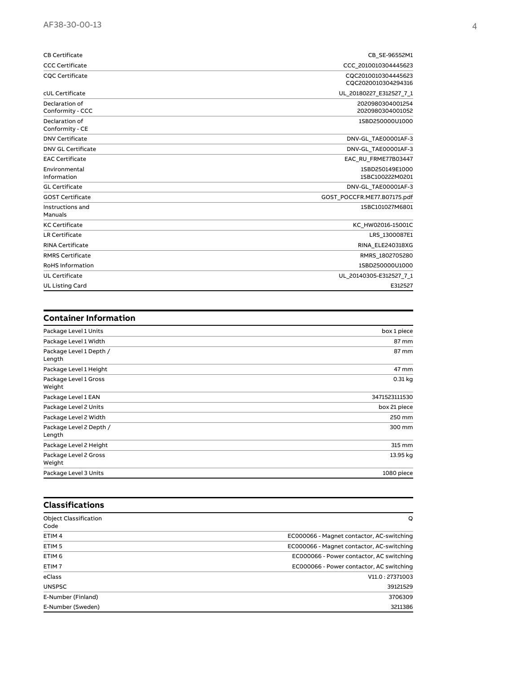| <b>CB Certificate</b>              | CB SE-96552M1                              |
|------------------------------------|--------------------------------------------|
| <b>CCC Certificate</b>             | CCC 2010010304445623                       |
| <b>CQC Certificate</b>             | CQC2010010304445623<br>CQC2020010304294316 |
| cUL Certificate                    | UL 20180227 E312527 7 1                    |
| Declaration of<br>Conformity - CCC | 2020980304001254<br>2020980304001052       |
| Declaration of<br>Conformity - CE  | 1SBD250000U1000                            |
| <b>DNV Certificate</b>             | DNV-GL TAE00001AF-3                        |
| <b>DNV GL Certificate</b>          | DNV-GL TAE00001AF-3                        |
| <b>EAC Certificate</b>             | EAC RU FRME77B03447                        |
| Environmental<br>Information       | 1SBD250149E1000<br>1SBC100222M0201         |
| <b>GL</b> Certificate              | DNV-GL TAE00001AF-3                        |
| <b>GOST Certificate</b>            | GOST POCCFR.ME77.B07175.pdf                |
| Instructions and<br>Manuals        | 1SBC101027M6801                            |
| <b>KC Certificate</b>              | KC HW02016-15001C                          |
| LR Certificate                     | LRS 1300087E1                              |
| <b>RINA Certificate</b>            | RINA ELE240318XG                           |
| <b>RMRS Certificate</b>            | RMRS 1802705280                            |
| <b>RoHS Information</b>            | 1SBD250000U1000                            |
| <b>UL Certificate</b>              | UL 20140305-E312527 7 1                    |
| <b>UL Listing Card</b>             | E312527                                    |

| <b>Container Information</b>      |               |
|-----------------------------------|---------------|
| Package Level 1 Units             | box 1 piece   |
| Package Level 1 Width             | 87 mm         |
| Package Level 1 Depth /<br>Length | 87 mm         |
| Package Level 1 Height            | 47 mm         |
| Package Level 1 Gross<br>Weight   | 0.31 kg       |
| Package Level 1 EAN               | 3471523111530 |
| Package Level 2 Units             | box 21 piece  |
| Package Level 2 Width             | 250 mm        |
| Package Level 2 Depth /<br>Length | 300 mm        |
| Package Level 2 Height            | 315 mm        |
| Package Level 2 Gross<br>Weight   | 13.95 kg      |
| Package Level 3 Units             | 1080 piece    |

| <b>Classifications</b>               |                                           |
|--------------------------------------|-------------------------------------------|
| <b>Object Classification</b><br>Code | O                                         |
| ETIM <sub>4</sub>                    | EC000066 - Magnet contactor, AC-switching |
| ETIM <sub>5</sub>                    | EC000066 - Magnet contactor, AC-switching |
| ETIM <sub>6</sub>                    | EC000066 - Power contactor, AC switching  |
| ETIM <sub>7</sub>                    | EC000066 - Power contactor, AC switching  |
| eClass                               | V11.0:27371003                            |
| <b>UNSPSC</b>                        | 39121529                                  |
| E-Number (Finland)                   | 3706309                                   |
| E-Number (Sweden)                    | 3211386                                   |